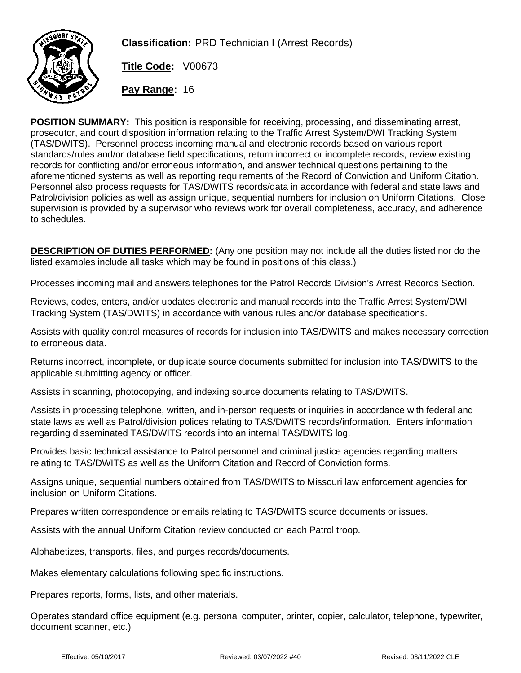

**Classification:** PRD Technician I (Arrest Records)

**Title Code:** V00673

**Pay Range:** 16

**POSITION SUMMARY:** This position is responsible for receiving, processing, and disseminating arrest, prosecutor, and court disposition information relating to the Traffic Arrest System/DWI Tracking System (TAS/DWITS). Personnel process incoming manual and electronic records based on various report standards/rules and/or database field specifications, return incorrect or incomplete records, review existing records for conflicting and/or erroneous information, and answer technical questions pertaining to the aforementioned systems as well as reporting requirements of the Record of Conviction and Uniform Citation. Personnel also process requests for TAS/DWITS records/data in accordance with federal and state laws and Patrol/division policies as well as assign unique, sequential numbers for inclusion on Uniform Citations. Close supervision is provided by a supervisor who reviews work for overall completeness, accuracy, and adherence to schedules.

**DESCRIPTION OF DUTIES PERFORMED:** (Any one position may not include all the duties listed nor do the listed examples include all tasks which may be found in positions of this class.)

Processes incoming mail and answers telephones for the Patrol Records Division's Arrest Records Section.

Reviews, codes, enters, and/or updates electronic and manual records into the Traffic Arrest System/DWI Tracking System (TAS/DWITS) in accordance with various rules and/or database specifications.

Assists with quality control measures of records for inclusion into TAS/DWITS and makes necessary correction to erroneous data.

Returns incorrect, incomplete, or duplicate source documents submitted for inclusion into TAS/DWITS to the applicable submitting agency or officer.

Assists in scanning, photocopying, and indexing source documents relating to TAS/DWITS.

Assists in processing telephone, written, and in-person requests or inquiries in accordance with federal and state laws as well as Patrol/division polices relating to TAS/DWITS records/information. Enters information regarding disseminated TAS/DWITS records into an internal TAS/DWITS log.

Provides basic technical assistance to Patrol personnel and criminal justice agencies regarding matters relating to TAS/DWITS as well as the Uniform Citation and Record of Conviction forms.

Assigns unique, sequential numbers obtained from TAS/DWITS to Missouri law enforcement agencies for inclusion on Uniform Citations.

Prepares written correspondence or emails relating to TAS/DWITS source documents or issues.

Assists with the annual Uniform Citation review conducted on each Patrol troop.

Alphabetizes, transports, files, and purges records/documents.

Makes elementary calculations following specific instructions.

Prepares reports, forms, lists, and other materials.

Operates standard office equipment (e.g. personal computer, printer, copier, calculator, telephone, typewriter, document scanner, etc.)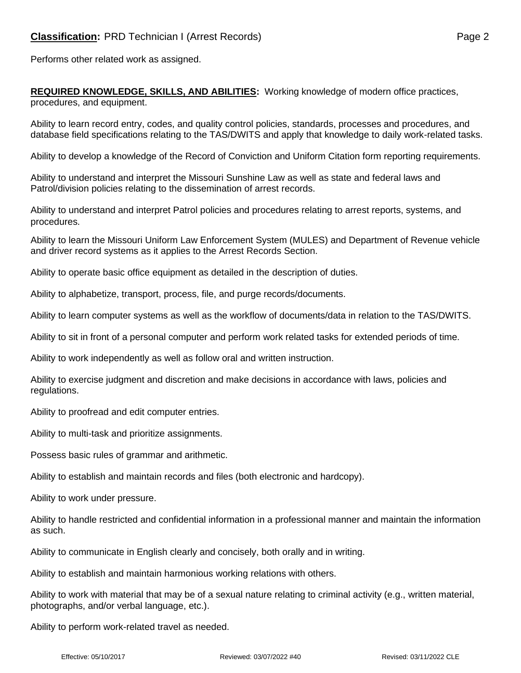Performs other related work as assigned.

**REQUIRED KNOWLEDGE, SKILLS, AND ABILITIES:** Working knowledge of modern office practices, procedures, and equipment.

Ability to learn record entry, codes, and quality control policies, standards, processes and procedures, and database field specifications relating to the TAS/DWITS and apply that knowledge to daily work-related tasks.

Ability to develop a knowledge of the Record of Conviction and Uniform Citation form reporting requirements.

Ability to understand and interpret the Missouri Sunshine Law as well as state and federal laws and Patrol/division policies relating to the dissemination of arrest records.

Ability to understand and interpret Patrol policies and procedures relating to arrest reports, systems, and procedures.

Ability to learn the Missouri Uniform Law Enforcement System (MULES) and Department of Revenue vehicle and driver record systems as it applies to the Arrest Records Section.

Ability to operate basic office equipment as detailed in the description of duties.

Ability to alphabetize, transport, process, file, and purge records/documents.

Ability to learn computer systems as well as the workflow of documents/data in relation to the TAS/DWITS.

Ability to sit in front of a personal computer and perform work related tasks for extended periods of time.

Ability to work independently as well as follow oral and written instruction.

Ability to exercise judgment and discretion and make decisions in accordance with laws, policies and regulations.

Ability to proofread and edit computer entries.

Ability to multi-task and prioritize assignments.

Possess basic rules of grammar and arithmetic.

Ability to establish and maintain records and files (both electronic and hardcopy).

Ability to work under pressure.

Ability to handle restricted and confidential information in a professional manner and maintain the information as such.

Ability to communicate in English clearly and concisely, both orally and in writing.

Ability to establish and maintain harmonious working relations with others.

Ability to work with material that may be of a sexual nature relating to criminal activity (e.g., written material, photographs, and/or verbal language, etc.).

Ability to perform work-related travel as needed.